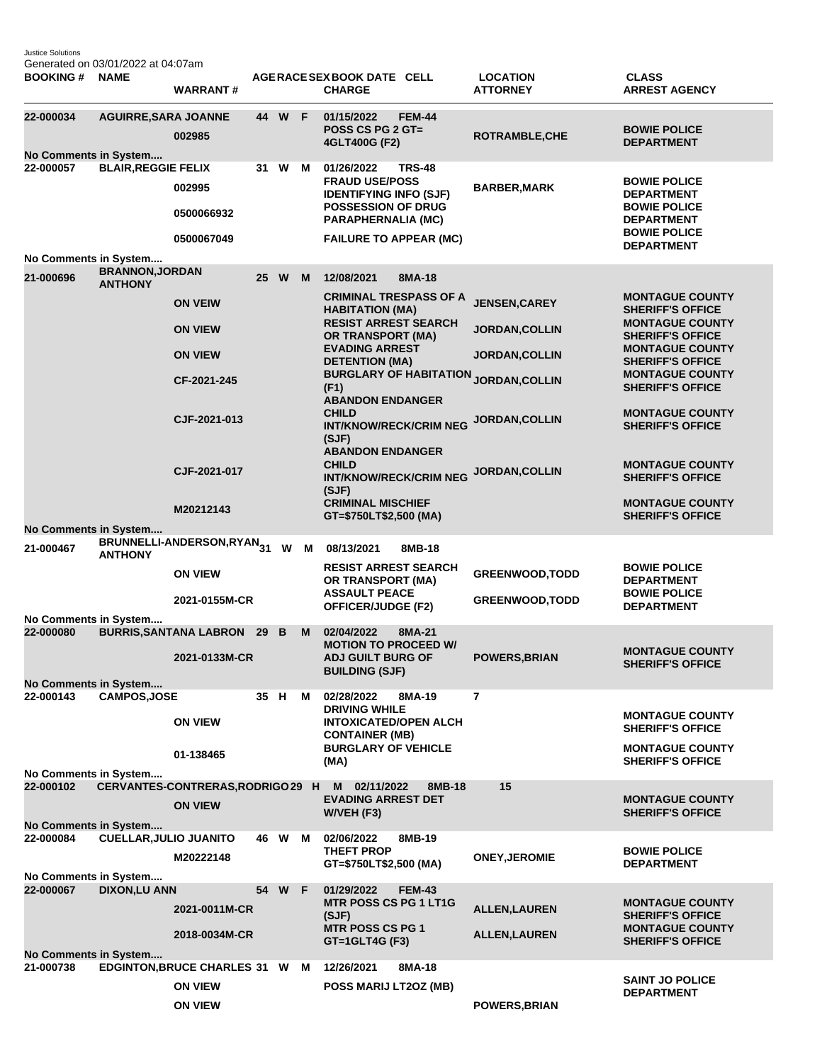Justice Solutions Generated on 03/01/2022 at 04:07am

| <b>BOOKING # NAME</b>              | OCHCHAICU OIT OU/OTIZUZZ al 04.07 ann    | <b>WARRANT#</b>                                  |    |          |   | AGERACE SEX BOOK DATE CELL<br><b>CHARGE</b>                                                                                                                                      | <b>LOCATION</b><br><b>ATTORNEY</b> | <b>CLASS</b><br><b>ARREST AGENCY</b>                                                                                             |
|------------------------------------|------------------------------------------|--------------------------------------------------|----|----------|---|----------------------------------------------------------------------------------------------------------------------------------------------------------------------------------|------------------------------------|----------------------------------------------------------------------------------------------------------------------------------|
| 22-000034<br>No Comments in System | <b>AGUIRRE, SARA JOANNE</b>              | 002985                                           |    | 44 W F   |   | 01/15/2022<br><b>FEM-44</b><br><b>POSS CS PG 2 GT=</b><br>4GLT400G (F2)                                                                                                          | ROTRAMBLE, CHE                     | <b>BOWIE POLICE</b><br><b>DEPARTMENT</b>                                                                                         |
| 22-000057                          | <b>BLAIR, REGGIE FELIX</b>               | 002995<br>0500066932<br>0500067049               | 31 | W        | M | 01/26/2022<br><b>TRS-48</b><br><b>FRAUD USE/POSS</b><br><b>IDENTIFYING INFO (SJF)</b><br><b>POSSESSION OF DRUG</b><br><b>PARAPHERNALIA (MC)</b><br><b>FAILURE TO APPEAR (MC)</b> | <b>BARBER, MARK</b>                | <b>BOWIE POLICE</b><br><b>DEPARTMENT</b><br><b>BOWIE POLICE</b><br><b>DEPARTMENT</b><br><b>BOWIE POLICE</b><br><b>DEPARTMENT</b> |
| No Comments in System              |                                          |                                                  |    |          |   |                                                                                                                                                                                  |                                    |                                                                                                                                  |
| 21-000696                          | <b>BRANNON, JORDAN</b><br><b>ANTHONY</b> |                                                  | 25 | <b>W</b> | M | 12/08/2021<br>8MA-18<br><b>CRIMINAL TRESPASS OF A</b>                                                                                                                            |                                    | <b>MONTAGUE COUNTY</b>                                                                                                           |
|                                    |                                          | <b>ON VEIW</b>                                   |    |          |   | <b>HABITATION (MA)</b><br><b>RESIST ARREST SEARCH</b>                                                                                                                            | <b>JENSEN, CAREY</b>               | <b>SHERIFF'S OFFICE</b><br><b>MONTAGUE COUNTY</b>                                                                                |
|                                    |                                          | <b>ON VIEW</b>                                   |    |          |   | <b>OR TRANSPORT (MA)</b>                                                                                                                                                         | <b>JORDAN, COLLIN</b>              | <b>SHERIFF'S OFFICE</b>                                                                                                          |
|                                    |                                          | <b>ON VIEW</b>                                   |    |          |   | <b>EVADING ARREST</b><br><b>DETENTION (MA)</b>                                                                                                                                   | <b>JORDAN, COLLIN</b>              | <b>MONTAGUE COUNTY</b><br><b>SHERIFF'S OFFICE</b>                                                                                |
|                                    |                                          | CF-2021-245                                      |    |          |   | <b>BURGLARY OF HABITATION</b><br>(F1)<br><b>ABANDON ENDANGER</b>                                                                                                                 | <b>JORDAN, COLLIN</b>              | <b>MONTAGUE COUNTY</b><br><b>SHERIFF'S OFFICE</b>                                                                                |
|                                    |                                          | CJF-2021-013                                     |    |          |   | <b>CHILD</b><br><b>INT/KNOW/RECK/CRIM NEG</b><br>(SJF)<br><b>ABANDON ENDANGER</b>                                                                                                | JORDAN, COLLIN                     | <b>MONTAGUE COUNTY</b><br><b>SHERIFF'S OFFICE</b>                                                                                |
|                                    |                                          | CJF-2021-017                                     |    |          |   | <b>CHILD</b><br><b>INT/KNOW/RECK/CRIM NEG</b><br>(SJF)                                                                                                                           | JORDAN, COLLIN                     | <b>MONTAGUE COUNTY</b><br><b>SHERIFF'S OFFICE</b>                                                                                |
|                                    |                                          | M20212143                                        |    |          |   | <b>CRIMINAL MISCHIEF</b><br>GT=\$750LT\$2,500 (MA)                                                                                                                               |                                    | <b>MONTAGUE COUNTY</b><br><b>SHERIFF'S OFFICE</b>                                                                                |
| No Comments in System<br>21-000467 |                                          | BRUNNELLI-ANDERSON,RYAN <sub>31</sub> W M        |    |          |   | 08/13/2021<br>8MB-18                                                                                                                                                             |                                    |                                                                                                                                  |
|                                    | <b>ANTHONY</b>                           | <b>ON VIEW</b>                                   |    |          |   | <b>RESIST ARREST SEARCH</b><br>OR TRANSPORT (MA)                                                                                                                                 | <b>GREENWOOD, TODD</b>             | <b>BOWIE POLICE</b><br><b>DEPARTMENT</b>                                                                                         |
|                                    |                                          | 2021-0155M-CR                                    |    |          |   | <b>ASSAULT PEACE</b><br><b>OFFICER/JUDGE (F2)</b>                                                                                                                                | <b>GREENWOOD, TODD</b>             | <b>BOWIE POLICE</b><br><b>DEPARTMENT</b>                                                                                         |
| No Comments in System<br>22-000080 |                                          | <b>BURRIS, SANTANA LABRON 29</b>                 |    | B        | M | 02/04/2022<br>8MA-21                                                                                                                                                             |                                    |                                                                                                                                  |
| No Comments in System              |                                          | 2021-0133M-CR                                    |    |          |   | <b>MOTION TO PROCEED W/</b><br><b>ADJ GUILT BURG OF</b><br><b>BUILDING (SJF)</b>                                                                                                 | <b>POWERS, BRIAN</b>               | <b>MONTAGUE COUNTY</b><br><b>SHERIFF'S OFFICE</b>                                                                                |
| 22-000143                          | <b>CAMPOS.JOSE</b>                       |                                                  |    | 35 H M   |   | 02/28/2022<br>8MA-19<br><b>DRIVING WHILE</b>                                                                                                                                     | $\overline{7}$                     |                                                                                                                                  |
|                                    |                                          | <b>ON VIEW</b>                                   |    |          |   | <b>INTOXICATED/OPEN ALCH</b><br><b>CONTAINER (MB)</b>                                                                                                                            |                                    | <b>MONTAGUE COUNTY</b><br><b>SHERIFF'S OFFICE</b>                                                                                |
|                                    |                                          | 01-138465                                        |    |          |   | <b>BURGLARY OF VEHICLE</b><br>(MA)                                                                                                                                               |                                    | <b>MONTAGUE COUNTY</b><br><b>SHERIFF'S OFFICE</b>                                                                                |
| No Comments in System<br>22-000102 |                                          | CERVANTES-CONTRERAS, RODRIGO 29 H                |    |          |   | M<br>02/11/2022<br>8MB-18                                                                                                                                                        | 15                                 |                                                                                                                                  |
| <b>No Comments in System</b>       |                                          | <b>ON VIEW</b>                                   |    |          |   | <b>EVADING ARREST DET</b><br>W/VEH (F3)                                                                                                                                          |                                    | <b>MONTAGUE COUNTY</b><br><b>SHERIFF'S OFFICE</b>                                                                                |
| 22-000084                          | <b>CUELLAR, JULIO JUANITO</b>            | M20222148                                        |    | 46 W M   |   | 8MB-19<br>02/06/2022<br><b>THEFT PROP</b>                                                                                                                                        | <b>ONEY, JEROMIE</b>               | <b>BOWIE POLICE</b>                                                                                                              |
| No Comments in System              |                                          |                                                  |    |          |   | GT=\$750LT\$2,500 (MA)                                                                                                                                                           |                                    | <b>DEPARTMENT</b>                                                                                                                |
| 22-000067                          | <b>DIXON,LU ANN</b>                      | 2021-0011M-CR                                    |    | 54 W F   |   | 01/29/2022<br><b>FEM-43</b><br><b>MTR POSS CS PG 1 LT1G</b><br>(SJF)                                                                                                             | <b>ALLEN, LAUREN</b>               | <b>MONTAGUE COUNTY</b><br><b>SHERIFF'S OFFICE</b>                                                                                |
|                                    |                                          | 2018-0034M-CR                                    |    |          |   | <b>MTR POSS CS PG 1</b><br>GT=1GLT4G (F3)                                                                                                                                        | <b>ALLEN, LAUREN</b>               | <b>MONTAGUE COUNTY</b><br><b>SHERIFF'S OFFICE</b>                                                                                |
| No Comments in System              |                                          |                                                  |    |          |   |                                                                                                                                                                                  |                                    |                                                                                                                                  |
| 21-000738                          |                                          | EDGINTON, BRUCE CHARLES 31 W M<br><b>ON VIEW</b> |    |          |   | 12/26/2021<br>8MA-18<br>POSS MARIJ LT2OZ (MB)                                                                                                                                    |                                    | <b>SAINT JO POLICE</b>                                                                                                           |
|                                    |                                          | <b>ON VIEW</b>                                   |    |          |   |                                                                                                                                                                                  | <b>POWERS, BRIAN</b>               | <b>DEPARTMENT</b>                                                                                                                |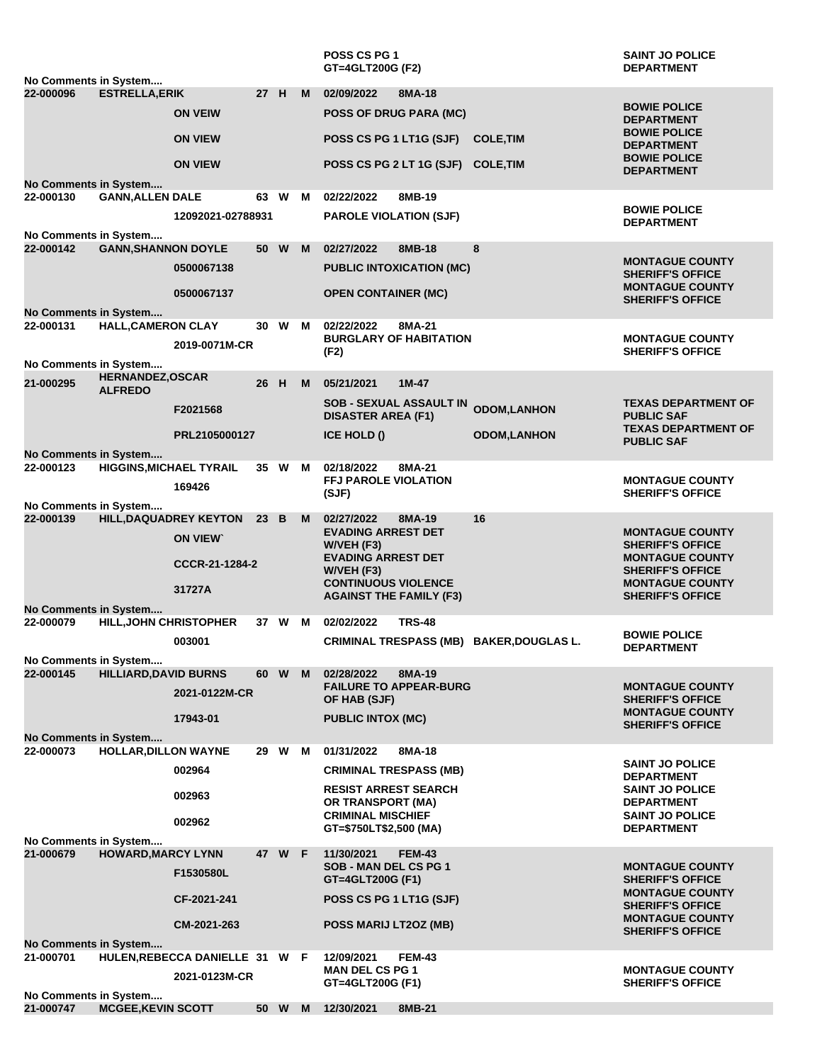| No Comments in System              |                                           |                                                 |      |        |     | POSS CS PG 1<br>GT=4GLT200G (F2)                            |               |                                          | <b>SAINT JO POLICE</b><br><b>DEPARTMENT</b>       |
|------------------------------------|-------------------------------------------|-------------------------------------------------|------|--------|-----|-------------------------------------------------------------|---------------|------------------------------------------|---------------------------------------------------|
| 22-000096                          | <b>ESTRELLA, ERIK</b>                     |                                                 |      | 27 H   | M.  | 02/09/2022                                                  | 8MA-18        |                                          |                                                   |
|                                    |                                           | <b>ON VEIW</b>                                  |      |        |     | POSS OF DRUG PARA (MC)                                      |               |                                          | <b>BOWIE POLICE</b><br><b>DEPARTMENT</b>          |
|                                    |                                           | <b>ON VIEW</b>                                  |      |        |     | POSS CS PG 1 LT1G (SJF)                                     |               | <b>COLE, TIM</b>                         | <b>BOWIE POLICE</b><br><b>DEPARTMENT</b>          |
|                                    |                                           | <b>ON VIEW</b>                                  |      |        |     | POSS CS PG 2 LT 1G (SJF) COLE, TIM                          |               |                                          | <b>BOWIE POLICE</b><br><b>DEPARTMENT</b>          |
| No Comments in System<br>22-000130 | <b>GANN, ALLEN DALE</b>                   |                                                 | 63.  | W      | - M | 02/22/2022                                                  | 8MB-19        |                                          |                                                   |
|                                    |                                           | 12092021-02788931                               |      |        |     | <b>PAROLE VIOLATION (SJF)</b>                               |               |                                          | <b>BOWIE POLICE</b><br><b>DEPARTMENT</b>          |
| No Comments in System<br>22-000142 | <b>GANN, SHANNON DOYLE</b>                |                                                 |      | 50 W   | M   | 02/27/2022                                                  | 8MB-18        | 8                                        |                                                   |
|                                    |                                           | 0500067138                                      |      |        |     | <b>PUBLIC INTOXICATION (MC)</b>                             |               |                                          | <b>MONTAGUE COUNTY</b><br><b>SHERIFF'S OFFICE</b> |
|                                    |                                           | 0500067137                                      |      |        |     | <b>OPEN CONTAINER (MC)</b>                                  |               |                                          | <b>MONTAGUE COUNTY</b><br><b>SHERIFF'S OFFICE</b> |
| No Comments in System<br>22-000131 | <b>HALL, CAMERON CLAY</b>                 |                                                 | 30   | W      | M   | 02/22/2022                                                  | 8MA-21        |                                          |                                                   |
|                                    |                                           |                                                 |      |        |     | <b>BURGLARY OF HABITATION</b>                               |               |                                          | <b>MONTAGUE COUNTY</b>                            |
| No Comments in System              |                                           | 2019-0071M-CR                                   |      |        |     | (F2)                                                        |               |                                          | <b>SHERIFF'S OFFICE</b>                           |
| 21-000295                          | <b>HERNANDEZ, OSCAR</b><br><b>ALFREDO</b> |                                                 | 26 H |        | M   | 05/21/2021                                                  | $1M-47$       |                                          |                                                   |
|                                    |                                           | F2021568                                        |      |        |     | <b>SOB - SEXUAL ASSAULT IN</b><br><b>DISASTER AREA (F1)</b> |               | <b>ODOM,LANHON</b>                       | <b>TEXAS DEPARTMENT OF</b><br><b>PUBLIC SAF</b>   |
|                                    |                                           | PRL2105000127                                   |      |        |     | ICE HOLD ()                                                 |               | <b>ODOM,LANHON</b>                       | <b>TEXAS DEPARTMENT OF</b><br><b>PUBLIC SAF</b>   |
| No Comments in System              |                                           |                                                 |      |        |     |                                                             | 8MA-21        |                                          |                                                   |
| 22-000123                          | <b>HIGGINS, MICHAEL TYRAIL</b>            | 169426                                          |      | 35 W   | M   | 02/18/2022<br><b>FFJ PAROLE VIOLATION</b><br>(SJF)          |               |                                          | <b>MONTAGUE COUNTY</b><br><b>SHERIFF'S OFFICE</b> |
| No Comments in System              |                                           |                                                 |      |        |     |                                                             |               |                                          |                                                   |
| 22-000139                          |                                           | <b>HILL, DAQUADREY KEYTON</b><br><b>ON VIEW</b> | 23 B |        | M   | 02/27/2022<br><b>EVADING ARREST DET</b>                     | 8MA-19        | 16                                       | <b>MONTAGUE COUNTY</b>                            |
|                                    |                                           | CCCR-21-1284-2                                  |      |        |     | W/VEH (F3)<br><b>EVADING ARREST DET</b>                     |               |                                          | <b>SHERIFF'S OFFICE</b><br><b>MONTAGUE COUNTY</b> |
|                                    |                                           | 31727A                                          |      |        |     | $W/NEH$ (F3)<br><b>CONTINUOUS VIOLENCE</b>                  |               |                                          | <b>SHERIFF'S OFFICE</b><br><b>MONTAGUE COUNTY</b> |
| No Comments in System              |                                           |                                                 |      |        |     | <b>AGAINST THE FAMILY (F3)</b>                              |               |                                          | <b>SHERIFF'S OFFICE</b>                           |
| 22-000079                          | <b>HILL, JOHN CHRISTOPHER</b>             |                                                 |      | 37 W M |     | 02/02/2022                                                  | <b>TRS-48</b> |                                          |                                                   |
|                                    |                                           | 003001                                          |      |        |     |                                                             |               | CRIMINAL TRESPASS (MB) BAKER, DOUGLAS L. | <b>BOWIE POLICE</b><br><b>DEPARTMENT</b>          |
| No Comments in System              |                                           |                                                 |      |        |     |                                                             |               |                                          |                                                   |
| 22-000145                          | <b>HILLIARD, DAVID BURNS</b>              |                                                 | 60   | W      | M   | 02/28/2022<br><b>FAILURE TO APPEAR-BURG</b>                 | 8MA-19        |                                          | <b>MONTAGUE COUNTY</b>                            |
|                                    |                                           | 2021-0122M-CR                                   |      |        |     | OF HAB (SJF)                                                |               |                                          | <b>SHERIFF'S OFFICE</b><br><b>MONTAGUE COUNTY</b> |
| <b>No Comments in System</b>       |                                           | 17943-01                                        |      |        |     | <b>PUBLIC INTOX (MC)</b>                                    |               |                                          | <b>SHERIFF'S OFFICE</b>                           |
| 22-000073                          | <b>HOLLAR, DILLON WAYNE</b>               |                                                 |      | 29 W M |     | 01/31/2022                                                  | 8MA-18        |                                          |                                                   |
|                                    |                                           | 002964                                          |      |        |     | <b>CRIMINAL TRESPASS (MB)</b>                               |               |                                          | <b>SAINT JO POLICE</b><br><b>DEPARTMENT</b>       |
|                                    |                                           | 002963                                          |      |        |     | <b>RESIST ARREST SEARCH</b><br>OR TRANSPORT (MA)            |               |                                          | <b>SAINT JO POLICE</b><br><b>DEPARTMENT</b>       |
|                                    |                                           | 002962                                          |      |        |     | <b>CRIMINAL MISCHIEF</b><br>GT=\$750LT\$2,500 (MA)          |               |                                          | <b>SAINT JO POLICE</b><br><b>DEPARTMENT</b>       |
| No Comments in System              |                                           |                                                 |      |        |     |                                                             |               |                                          |                                                   |
| 21-000679                          | <b>HOWARD, MARCY LYNN</b>                 |                                                 | 47   | W F    |     | 11/30/2021<br>SOB - MAN DEL CS PG 1                         | <b>FEM-43</b> |                                          | <b>MONTAGUE COUNTY</b>                            |
|                                    |                                           | F1530580L                                       |      |        |     | GT=4GLT200G (F1)                                            |               |                                          | <b>SHERIFF'S OFFICE</b><br><b>MONTAGUE COUNTY</b> |
|                                    |                                           | CF-2021-241                                     |      |        |     | POSS CS PG 1 LT1G (SJF)                                     |               |                                          | <b>SHERIFF'S OFFICE</b><br><b>MONTAGUE COUNTY</b> |
|                                    |                                           | CM-2021-263                                     |      |        |     | POSS MARIJ LT2OZ (MB)                                       |               |                                          | <b>SHERIFF'S OFFICE</b>                           |
| <b>No Comments in System</b>       |                                           |                                                 |      |        |     |                                                             |               |                                          |                                                   |
| 21-000701                          |                                           | HULEN, REBECCA DANIELLE 31 W F<br>2021-0123M-CR |      |        |     | 12/09/2021<br><b>MAN DEL CS PG 1</b><br>GT=4GLT200G (F1)    | <b>FEM-43</b> |                                          | <b>MONTAGUE COUNTY</b><br><b>SHERIFF'S OFFICE</b> |
| No Comments in System              |                                           |                                                 |      |        |     |                                                             |               |                                          |                                                   |
| 21-000747                          | <b>MCGEE, KEVIN SCOTT</b>                 |                                                 |      | 50 W   | M   | 12/30/2021                                                  | 8MB-21        |                                          |                                                   |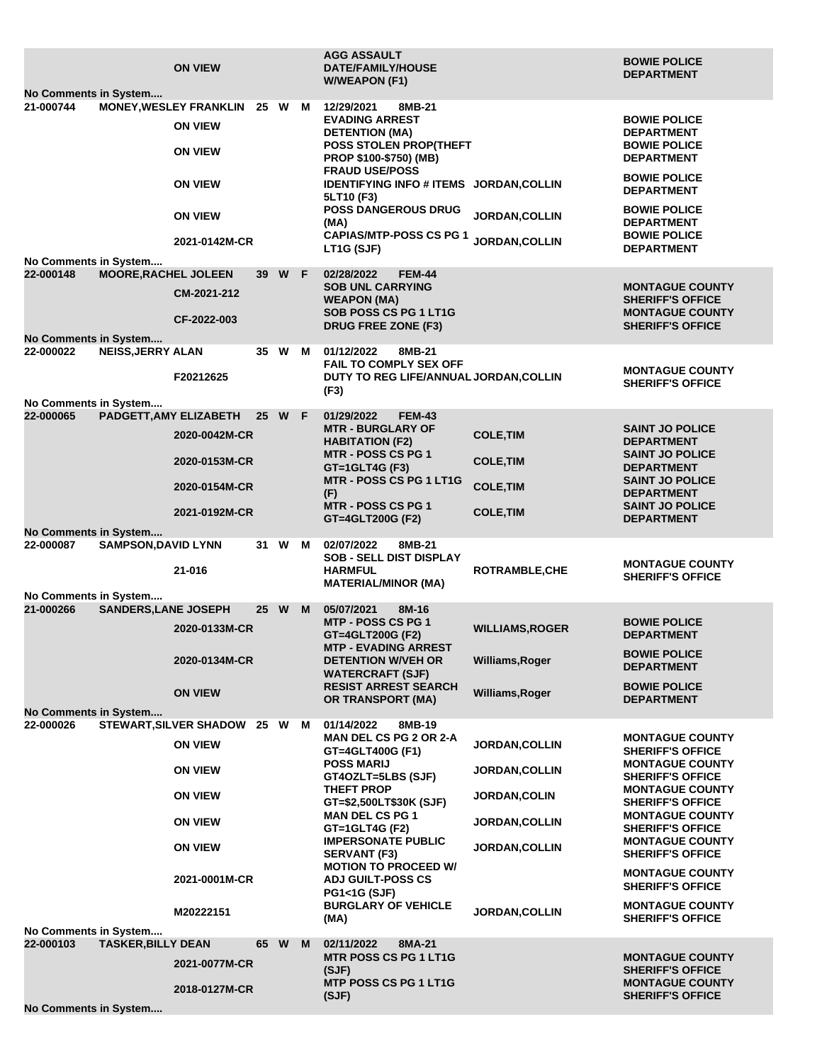|                                                     |                             | <b>ON VIEW</b>                                                    |                 |          |   | <b>AGG ASSAULT</b><br><b>DATE/FAMILY/HOUSE</b><br><b>W/WEAPON (F1)</b>                                                            |                                                   | <b>BOWIE POLICE</b><br><b>DEPARTMENT</b>                                             |  |  |
|-----------------------------------------------------|-----------------------------|-------------------------------------------------------------------|-----------------|----------|---|-----------------------------------------------------------------------------------------------------------------------------------|---------------------------------------------------|--------------------------------------------------------------------------------------|--|--|
| No Comments in System                               |                             |                                                                   |                 |          |   |                                                                                                                                   |                                                   |                                                                                      |  |  |
| 21-000744                                           |                             | <b>MONEY, WESLEY FRANKLIN</b><br><b>ON VIEW</b><br><b>ON VIEW</b> | 25 W M          |          |   | 12/29/2021<br>8MB-21<br><b>EVADING ARREST</b><br><b>DETENTION (MA)</b><br><b>POSS STOLEN PROP(THEFT</b><br>PROP \$100-\$750) (MB) |                                                   | <b>BOWIE POLICE</b><br><b>DEPARTMENT</b><br><b>BOWIE POLICE</b><br><b>DEPARTMENT</b> |  |  |
|                                                     |                             | <b>ON VIEW</b>                                                    |                 |          |   | <b>FRAUD USE/POSS</b><br><b>IDENTIFYING INFO # ITEMS JORDAN, COLLIN</b><br>5LT10 (F3)                                             |                                                   | <b>BOWIE POLICE</b><br><b>DEPARTMENT</b>                                             |  |  |
|                                                     |                             | <b>ON VIEW</b><br>2021-0142M-CR                                   |                 |          |   | <b>POSS DANGEROUS DRUG</b><br>(MA)<br><b>CAPIAS/MTP-POSS CS PG 1</b>                                                              | <b>JORDAN, COLLIN</b><br>JORDAN, COLLIN           | <b>BOWIE POLICE</b><br><b>DEPARTMENT</b><br><b>BOWIE POLICE</b>                      |  |  |
| No Comments in System                               |                             |                                                                   |                 |          |   | LT1G (SJF)                                                                                                                        |                                                   | <b>DEPARTMENT</b>                                                                    |  |  |
| 22-000148                                           | <b>MOORE, RACHEL JOLEEN</b> |                                                                   | 39              | W F      |   | 02/28/2022<br><b>FEM-44</b>                                                                                                       |                                                   |                                                                                      |  |  |
|                                                     |                             | CM-2021-212                                                       |                 |          |   | <b>SOB UNL CARRYING</b>                                                                                                           |                                                   | <b>MONTAGUE COUNTY</b>                                                               |  |  |
|                                                     |                             |                                                                   |                 |          |   | <b>WEAPON (MA)</b><br><b>SOB POSS CS PG 1 LT1G</b>                                                                                |                                                   | <b>SHERIFF'S OFFICE</b><br><b>MONTAGUE COUNTY</b>                                    |  |  |
|                                                     |                             | CF-2022-003                                                       |                 |          |   | <b>DRUG FREE ZONE (F3)</b>                                                                                                        |                                                   | <b>SHERIFF'S OFFICE</b>                                                              |  |  |
| No Comments in System                               |                             |                                                                   |                 |          |   |                                                                                                                                   |                                                   |                                                                                      |  |  |
| 22-000022                                           | <b>NEISS, JERRY ALAN</b>    |                                                                   |                 | 35 W M   |   | 01/12/2022<br>8MB-21                                                                                                              |                                                   |                                                                                      |  |  |
|                                                     |                             | F20212625                                                         |                 |          |   | <b>FAIL TO COMPLY SEX OFF</b><br>DUTY TO REG LIFE/ANNUAL JORDAN, COLLIN                                                           |                                                   | <b>MONTAGUE COUNTY</b>                                                               |  |  |
|                                                     |                             |                                                                   |                 |          |   | (F3)                                                                                                                              |                                                   | <b>SHERIFF'S OFFICE</b>                                                              |  |  |
| No Comments in System                               |                             |                                                                   |                 |          |   |                                                                                                                                   |                                                   |                                                                                      |  |  |
| 22-000065                                           | PADGETT, AMY ELIZABETH      |                                                                   | 25 <sub>2</sub> | W F      |   | 01/29/2022<br><b>FEM-43</b><br><b>MTR - BURGLARY OF</b>                                                                           |                                                   | <b>SAINT JO POLICE</b>                                                               |  |  |
|                                                     |                             | 2020-0042M-CR                                                     |                 |          |   | <b>HABITATION (F2)</b>                                                                                                            | <b>COLE, TIM</b>                                  | <b>DEPARTMENT</b>                                                                    |  |  |
|                                                     |                             | 2020-0153M-CR                                                     |                 |          |   | <b>MTR - POSS CS PG 1</b>                                                                                                         | <b>COLE, TIM</b>                                  | <b>SAINT JO POLICE</b>                                                               |  |  |
|                                                     |                             |                                                                   |                 |          |   | GT=1GLT4G (F3)                                                                                                                    |                                                   | <b>DEPARTMENT</b>                                                                    |  |  |
|                                                     |                             | 2020-0154M-CR                                                     |                 |          |   | <b>MTR - POSS CS PG 1 LT1G</b><br>(F)                                                                                             | <b>COLE, TIM</b>                                  | <b>SAINT JO POLICE</b><br><b>DEPARTMENT</b>                                          |  |  |
|                                                     |                             | 2021-0192M-CR                                                     |                 |          |   | <b>MTR - POSS CS PG 1</b>                                                                                                         | <b>COLE, TIM</b>                                  | <b>SAINT JO POLICE</b>                                                               |  |  |
|                                                     |                             |                                                                   |                 |          |   | GT=4GLT200G (F2)                                                                                                                  |                                                   | <b>DEPARTMENT</b>                                                                    |  |  |
| No Comments in System<br>22-000087                  | <b>SAMPSON, DAVID LYNN</b>  |                                                                   |                 | 31 W M   |   | 02/07/2022<br>8MB-21                                                                                                              |                                                   |                                                                                      |  |  |
|                                                     |                             |                                                                   |                 |          |   | <b>SOB - SELL DIST DISPLAY</b>                                                                                                    |                                                   | <b>MONTAGUE COUNTY</b>                                                               |  |  |
|                                                     |                             | 21-016                                                            |                 |          |   | <b>HARMFUL</b>                                                                                                                    | <b>ROTRAMBLE,CHE</b>                              | <b>SHERIFF'S OFFICE</b>                                                              |  |  |
| <b>MATERIAL/MINOR (MA)</b><br>No Comments in System |                             |                                                                   |                 |          |   |                                                                                                                                   |                                                   |                                                                                      |  |  |
| 21-000266                                           | <b>SANDERS, LANE JOSEPH</b> |                                                                   | 25              | <b>W</b> | M | 05/07/2021<br>8M-16                                                                                                               |                                                   |                                                                                      |  |  |
|                                                     |                             | 2020-0133M-CR                                                     |                 |          |   | <b>MTP - POSS CS PG 1</b>                                                                                                         | <b>WILLIAMS, ROGER</b>                            | <b>BOWIE POLICE</b>                                                                  |  |  |
|                                                     |                             |                                                                   |                 |          |   | GT=4GLT200G (F2)<br><b>MTP - EVADING ARREST</b>                                                                                   |                                                   | <b>DEPARTMENT</b>                                                                    |  |  |
|                                                     |                             | 2020-0134M-CR                                                     |                 |          |   | <b>DETENTION W/VEH OR</b>                                                                                                         | Williams, Roger                                   | <b>BOWIE POLICE</b><br><b>DEPARTMENT</b>                                             |  |  |
|                                                     |                             |                                                                   |                 |          |   | <b>WATERCRAFT (SJF)</b><br><b>RESIST ARREST SEARCH</b>                                                                            |                                                   | <b>BOWIE POLICE</b>                                                                  |  |  |
|                                                     |                             | <b>ON VIEW</b>                                                    |                 |          |   | <b>OR TRANSPORT (MA)</b>                                                                                                          | Williams, Roger                                   | <b>DEPARTMENT</b>                                                                    |  |  |
| No Comments in System                               |                             |                                                                   |                 |          |   |                                                                                                                                   |                                                   |                                                                                      |  |  |
| 22-000026                                           |                             | STEWART, SILVER SHADOW 25 W M                                     |                 |          |   | 01/14/2022<br>8MB-19<br><b>MAN DEL CS PG 2 OR 2-A</b>                                                                             |                                                   | <b>MONTAGUE COUNTY</b>                                                               |  |  |
|                                                     |                             | <b>ON VIEW</b>                                                    |                 |          |   | GT=4GLT400G (F1)                                                                                                                  | <b>JORDAN, COLLIN</b>                             | <b>SHERIFF'S OFFICE</b>                                                              |  |  |
|                                                     |                             | <b>ON VIEW</b>                                                    |                 |          |   | <b>POSS MARIJ</b>                                                                                                                 | <b>MONTAGUE COUNTY</b><br><b>SHERIFF'S OFFICE</b> |                                                                                      |  |  |
|                                                     |                             | <b>ON VIEW</b>                                                    |                 |          |   | GT4OZLT=5LBS (SJF)<br><b>THEFT PROP</b>                                                                                           | <b>JORDAN,COLIN</b>                               | <b>MONTAGUE COUNTY</b>                                                               |  |  |
|                                                     |                             | <b>ON VIEW</b>                                                    |                 |          |   | GT=\$2,500LT\$30K (SJF)<br><b>MAN DEL CS PG 1</b>                                                                                 |                                                   | <b>SHERIFF'S OFFICE</b><br><b>MONTAGUE COUNTY</b>                                    |  |  |
|                                                     |                             |                                                                   |                 |          |   | GT=1GLT4G (F2)                                                                                                                    | <b>JORDAN,COLLIN</b>                              | <b>SHERIFF'S OFFICE</b>                                                              |  |  |
|                                                     |                             | <b>ON VIEW</b>                                                    |                 |          |   | <b>IMPERSONATE PUBLIC</b><br><b>SERVANT (F3)</b>                                                                                  | <b>JORDAN,COLLIN</b>                              | <b>MONTAGUE COUNTY</b><br><b>SHERIFF'S OFFICE</b>                                    |  |  |
|                                                     |                             | 2021-0001M-CR                                                     |                 |          |   | <b>MOTION TO PROCEED W/</b><br><b>ADJ GUILT-POSS CS</b>                                                                           |                                                   | <b>MONTAGUE COUNTY</b><br><b>SHERIFF'S OFFICE</b>                                    |  |  |
|                                                     |                             |                                                                   |                 |          |   | <b>PG1&lt;1G (SJF)</b>                                                                                                            |                                                   |                                                                                      |  |  |
|                                                     |                             | M20222151                                                         |                 |          |   | <b>BURGLARY OF VEHICLE</b><br>(MA)                                                                                                | <b>JORDAN, COLLIN</b>                             | <b>MONTAGUE COUNTY</b><br><b>SHERIFF'S OFFICE</b>                                    |  |  |
| No Comments in System                               |                             |                                                                   |                 |          |   |                                                                                                                                   |                                                   |                                                                                      |  |  |
| 22-000103                                           | <b>TASKER, BILLY DEAN</b>   |                                                                   | 65 W            |          | M | 02/11/2022<br>8MA-21                                                                                                              |                                                   |                                                                                      |  |  |
|                                                     |                             | 2021-0077M-CR                                                     |                 |          |   | <b>MTR POSS CS PG 1 LT1G</b><br>(SJF)                                                                                             |                                                   | <b>MONTAGUE COUNTY</b><br><b>SHERIFF'S OFFICE</b>                                    |  |  |
|                                                     |                             | 2018-0127M-CR                                                     |                 |          |   | <b>MTP POSS CS PG 1 LT1G</b>                                                                                                      |                                                   | <b>MONTAGUE COUNTY</b>                                                               |  |  |
|                                                     |                             |                                                                   |                 |          |   | (SJF)                                                                                                                             |                                                   | <b>SHERIFF'S OFFICE</b>                                                              |  |  |
| No Comments in System                               |                             |                                                                   |                 |          |   |                                                                                                                                   |                                                   |                                                                                      |  |  |